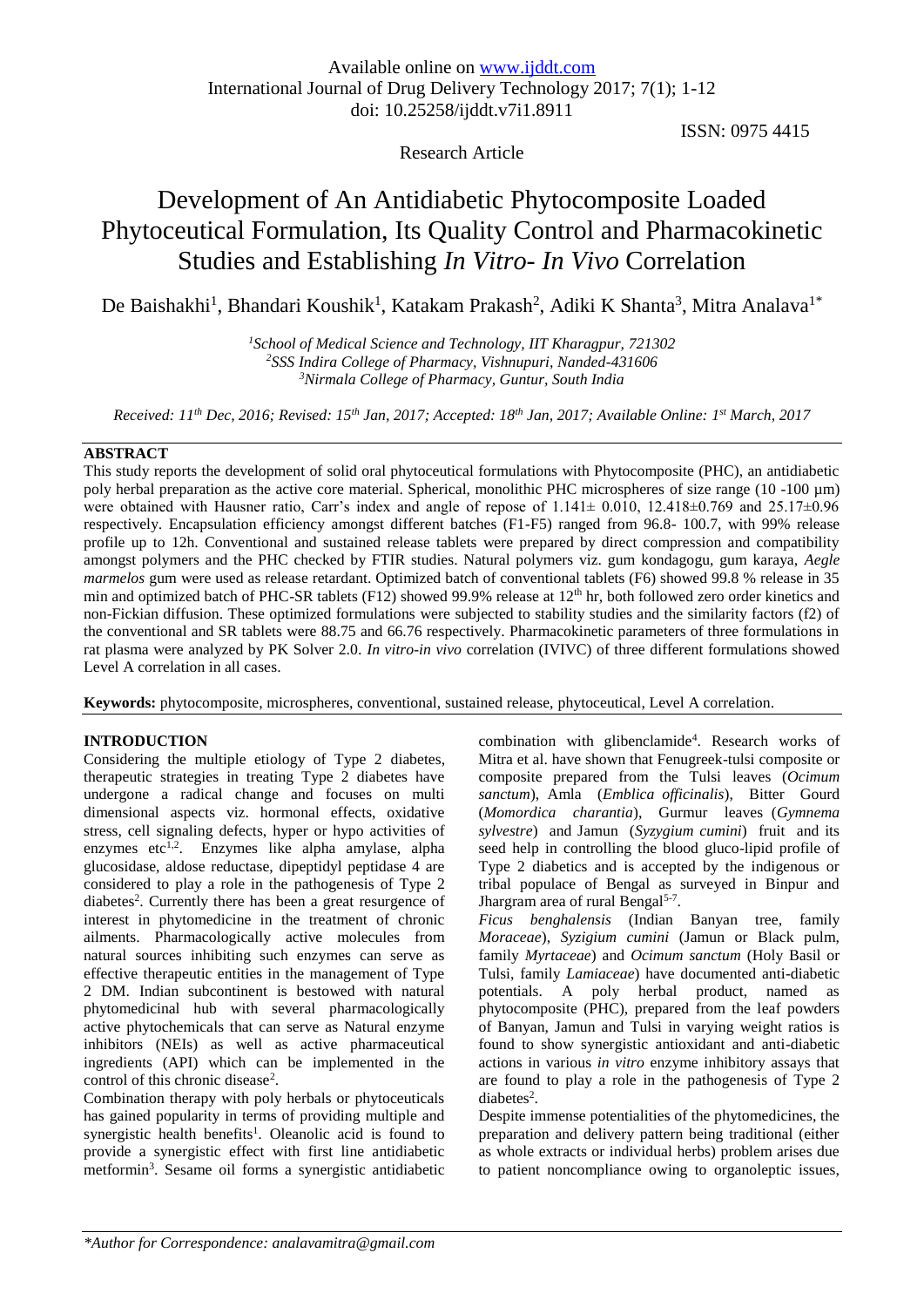# Research Article

ISSN: 0975 4415

# Development of An Antidiabetic Phytocomposite Loaded Phytoceutical Formulation, Its Quality Control and Pharmacokinetic Studies and Establishing *In Vitro- In Vivo* Correlation

De Baishakhi<sup>1</sup>, Bhandari Koushik<sup>1</sup>, Katakam Prakash<sup>2</sup>, Adiki K Shanta<sup>3</sup>, Mitra Analava<sup>1\*</sup>

*<sup>1</sup>School of Medical Science and Technology, IIT Kharagpur, 721302 <sup>2</sup>SSS Indira College of Pharmacy, Vishnupuri, Nanded-431606 <sup>3</sup>Nirmala College of Pharmacy, Guntur, South India*

*Received: 11th Dec, 2016; Revised: 15th Jan, 2017; Accepted: 18th Jan, 2017; Available Online: 1 st March, 2017*

# **ABSTRACT**

This study reports the development of solid oral phytoceutical formulations with Phytocomposite (PHC), an antidiabetic poly herbal preparation as the active core material. Spherical, monolithic PHC microspheres of size range (10 -100 µm) were obtained with Hausner ratio, Carr's index and angle of repose of 1.141± 0.010, 12.418±0.769 and 25.17±0.96 respectively. Encapsulation efficiency amongst different batches (F1-F5) ranged from 96.8- 100.7, with 99% release profile up to 12h. Conventional and sustained release tablets were prepared by direct compression and compatibility amongst polymers and the PHC checked by FTIR studies. Natural polymers viz. gum kondagogu, gum karaya, *Aegle marmelos* gum were used as release retardant. Optimized batch of conventional tablets (F6) showed 99.8 % release in 35 min and optimized batch of PHC-SR tablets (F12) showed 99.9% release at  $12<sup>th</sup>$  hr, both followed zero order kinetics and non-Fickian diffusion. These optimized formulations were subjected to stability studies and the similarity factors (f2) of the conventional and SR tablets were 88.75 and 66.76 respectively. Pharmacokinetic parameters of three formulations in rat plasma were analyzed by PK Solver 2.0. *In vitro*-*in vivo* correlation (IVIVC) of three different formulations showed Level A correlation in all cases.

**Keywords:** phytocomposite, microspheres, conventional, sustained release, phytoceutical, Level A correlation.

# **INTRODUCTION**

Considering the multiple etiology of Type 2 diabetes, therapeutic strategies in treating Type 2 diabetes have undergone a radical change and focuses on multi dimensional aspects viz. hormonal effects, oxidative stress, cell signaling defects, hyper or hypo activities of enzymes etc<sup>1,2</sup>. Enzymes like alpha amylase, alpha glucosidase, aldose reductase, dipeptidyl peptidase 4 are considered to play a role in the pathogenesis of Type 2 diabetes<sup>2</sup>. Currently there has been a great resurgence of interest in phytomedicine in the treatment of chronic ailments. Pharmacologically active molecules from natural sources inhibiting such enzymes can serve as effective therapeutic entities in the management of Type 2 DM. Indian subcontinent is bestowed with natural phytomedicinal hub with several pharmacologically active phytochemicals that can serve as Natural enzyme inhibitors (NEIs) as well as active pharmaceutical ingredients (API) which can be implemented in the control of this chronic disease<sup>2</sup>.

Combination therapy with poly herbals or phytoceuticals has gained popularity in terms of providing multiple and synergistic health benefits<sup>1</sup>. Oleanolic acid is found to provide a synergistic effect with first line antidiabetic metformin<sup>3</sup> . Sesame oil forms a synergistic antidiabetic

combination with glibenclamide<sup>4</sup>. Research works of Mitra et al. have shown that Fenugreek-tulsi composite or composite prepared from the Tulsi leaves (*Ocimum sanctum*), Amla (*Emblica officinalis*), Bitter Gourd (*Momordica charantia*), Gurmur leaves (*Gymnema sylvestre*) and Jamun (*Syzygium cumini*) fruit and its seed help in controlling the blood gluco-lipid profile of Type 2 diabetics and is accepted by the indigenous or tribal populace of Bengal as surveyed in Binpur and Jhargram area of rural Bengal<sup>5-7</sup>.

*Ficus benghalensis* (Indian Banyan tree, family *Moraceae*), *Syzigium cumini* (Jamun or Black pulm, family *Myrtaceae*) and *Ocimum sanctum* (Holy Basil or Tulsi, family *Lamiaceae*) have documented anti-diabetic potentials. A poly herbal product, named as phytocomposite (PHC), prepared from the leaf powders of Banyan, Jamun and Tulsi in varying weight ratios is found to show synergistic antioxidant and anti-diabetic actions in various *in vitro* enzyme inhibitory assays that are found to play a role in the pathogenesis of Type 2 diabetes<sup>2</sup>.

Despite immense potentialities of the phytomedicines, the preparation and delivery pattern being traditional (either as whole extracts or individual herbs) problem arises due to patient noncompliance owing to organoleptic issues,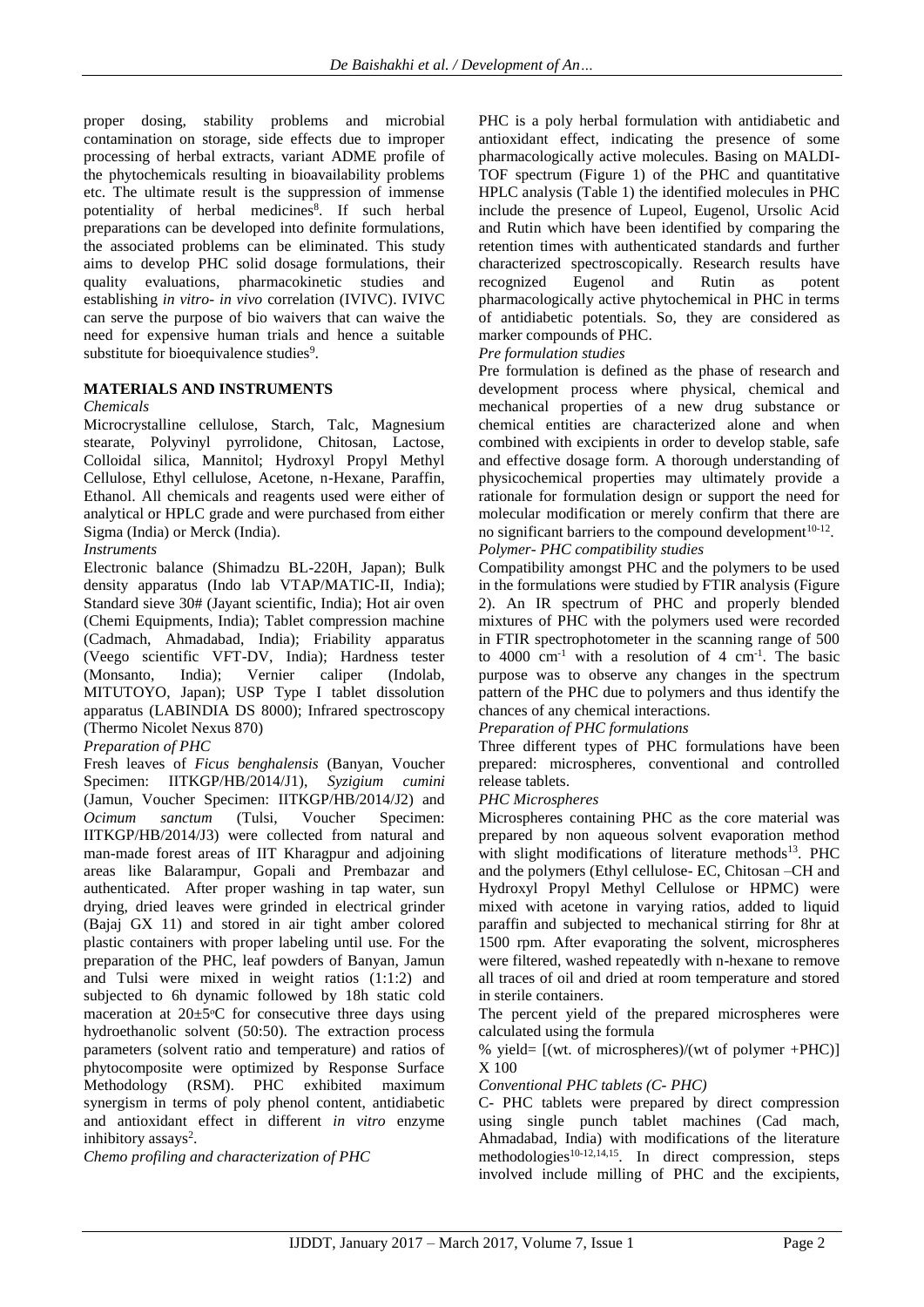proper dosing, stability problems and microbial contamination on storage, side effects due to improper processing of herbal extracts, variant ADME profile of the phytochemicals resulting in bioavailability problems etc. The ultimate result is the suppression of immense potentiality of herbal medicines<sup>8</sup>. If such herbal preparations can be developed into definite formulations, the associated problems can be eliminated. This study aims to develop PHC solid dosage formulations, their quality evaluations, pharmacokinetic studies and establishing *in vitro- in vivo* correlation (IVIVC). IVIVC can serve the purpose of bio waivers that can waive the need for expensive human trials and hence a suitable substitute for bioequivalence studies<sup>9</sup>.

# **MATERIALS AND INSTRUMENTS**

# *Chemicals*

Microcrystalline cellulose, Starch, Talc, Magnesium stearate, Polyvinyl pyrrolidone, Chitosan, Lactose, Colloidal silica, Mannitol; Hydroxyl Propyl Methyl Cellulose, Ethyl cellulose, Acetone, n-Hexane, Paraffin, Ethanol. All chemicals and reagents used were either of analytical or HPLC grade and were purchased from either Sigma (India) or Merck (India).

# *Instruments*

Electronic balance (Shimadzu BL-220H, Japan); Bulk density apparatus (Indo lab VTAP/MATIC-II, India); Standard sieve 30# (Jayant scientific, India); Hot air oven (Chemi Equipments, India); Tablet compression machine (Cadmach, Ahmadabad, India); Friability apparatus (Veego scientific VFT-DV, India); Hardness tester (Monsanto, India); Vernier caliper (Indolab, MITUTOYO, Japan); USP Type I tablet dissolution apparatus (LABINDIA DS 8000); Infrared spectroscopy (Thermo Nicolet Nexus 870)

# *Preparation of PHC*

Fresh leaves of *Ficus benghalensis* (Banyan, Voucher Specimen: IITKGP/HB/2014/J1), *Syzigium cumini* (Jamun, Voucher Specimen: IITKGP/HB/2014/J2) and *Ocimum sanctum* (Tulsi, Voucher Specimen: IITKGP/HB/2014/J3) were collected from natural and man-made forest areas of IIT Kharagpur and adjoining areas like Balarampur, Gopali and Prembazar and authenticated. After proper washing in tap water, sun drying, dried leaves were grinded in electrical grinder (Bajaj GX 11) and stored in air tight amber colored plastic containers with proper labeling until use. For the preparation of the PHC, leaf powders of Banyan, Jamun and Tulsi were mixed in weight ratios (1:1:2) and subjected to 6h dynamic followed by 18h static cold maceration at  $20 \pm 5$ °C for consecutive three days using hydroethanolic solvent (50:50). The extraction process parameters (solvent ratio and temperature) and ratios of phytocomposite were optimized by Response Surface Methodology (RSM). PHC exhibited maximum synergism in terms of poly phenol content, antidiabetic and antioxidant effect in different *in vitro* enzyme inhibitory assays<sup>2</sup>.

*Chemo profiling and characterization of PHC*

PHC is a poly herbal formulation with antidiabetic and antioxidant effect, indicating the presence of some pharmacologically active molecules. Basing on MALDI-TOF spectrum (Figure 1) of the PHC and quantitative HPLC analysis (Table 1) the identified molecules in PHC include the presence of Lupeol, Eugenol, Ursolic Acid and Rutin which have been identified by comparing the retention times with authenticated standards and further characterized spectroscopically. Research results have recognized Eugenol and Rutin as potent pharmacologically active phytochemical in PHC in terms of antidiabetic potentials. So, they are considered as marker compounds of PHC.

#### *Pre formulation studies*

Pre formulation is defined as the phase of research and development process where physical, chemical and mechanical properties of a new drug substance or chemical entities are characterized alone and when combined with excipients in order to develop stable, safe and effective dosage form. A thorough understanding of physicochemical properties may ultimately provide a rationale for formulation design or support the need for molecular modification or merely confirm that there are no significant barriers to the compound development $10-12$ .

#### *Polymer- PHC compatibility studies*

Compatibility amongst PHC and the polymers to be used in the formulations were studied by FTIR analysis (Figure 2). An IR spectrum of PHC and properly blended mixtures of PHC with the polymers used were recorded in FTIR spectrophotometer in the scanning range of 500 to  $4000 \text{ cm}^{-1}$  with a resolution of 4 cm<sup>-1</sup>. The basic purpose was to observe any changes in the spectrum pattern of the PHC due to polymers and thus identify the chances of any chemical interactions.

# *Preparation of PHC formulations*

Three different types of PHC formulations have been prepared: microspheres, conventional and controlled release tablets.

#### *PHC Microspheres*

Microspheres containing PHC as the core material was prepared by non aqueous solvent evaporation method with slight modifications of literature methods<sup>13</sup>. PHC and the polymers (Ethyl cellulose- EC, Chitosan –CH and Hydroxyl Propyl Methyl Cellulose or HPMC) were mixed with acetone in varying ratios, added to liquid paraffin and subjected to mechanical stirring for 8hr at 1500 rpm. After evaporating the solvent, microspheres were filtered, washed repeatedly with n-hexane to remove all traces of oil and dried at room temperature and stored in sterile containers.

The percent yield of the prepared microspheres were calculated using the formula

% yield=  $[(wt. of microspheres)/(wt of polymer + PHC)]$ X 100

#### *Conventional PHC tablets (C- PHC)*

C- PHC tablets were prepared by direct compression using single punch tablet machines (Cad mach, Ahmadabad, India) with modifications of the literature methodologies<sup>10-12,14,15</sup>. In direct compression, steps involved include milling of PHC and the excipients,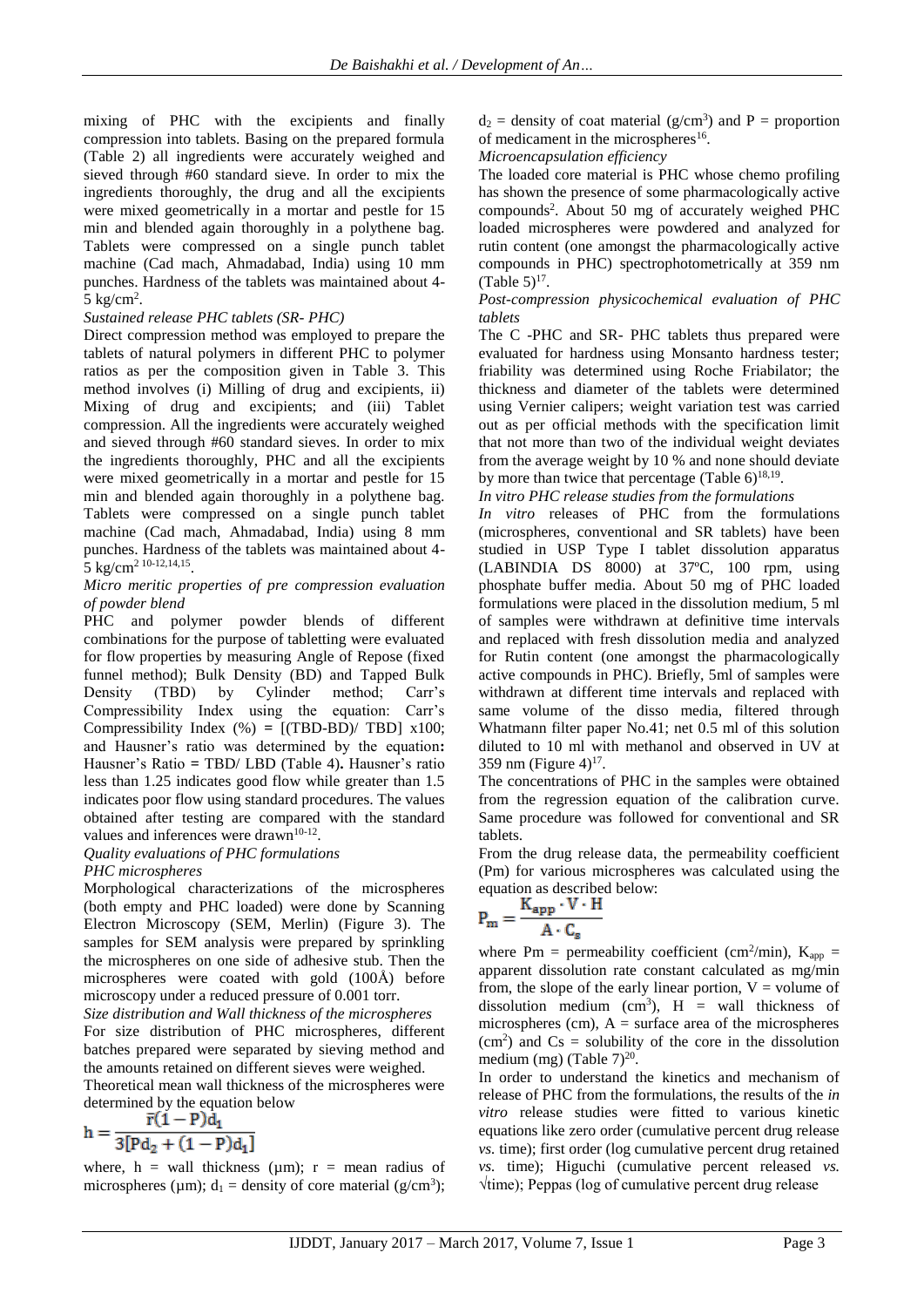mixing of PHC with the excipients and finally compression into tablets. Basing on the prepared formula (Table 2) all ingredients were accurately weighed and sieved through #60 standard sieve. In order to mix the ingredients thoroughly, the drug and all the excipients were mixed geometrically in a mortar and pestle for 15 min and blended again thoroughly in a polythene bag. Tablets were compressed on a single punch tablet machine (Cad mach, Ahmadabad, India) using 10 mm punches. Hardness of the tablets was maintained about 4-  $5 \text{ kg/cm}^2$ .

### *Sustained release PHC tablets (SR- PHC)*

Direct compression method was employed to prepare the tablets of natural polymers in different PHC to polymer ratios as per the composition given in Table 3. This method involves (i) Milling of drug and excipients, ii) Mixing of drug and excipients; and (iii) Tablet compression. All the ingredients were accurately weighed and sieved through #60 standard sieves. In order to mix the ingredients thoroughly, PHC and all the excipients were mixed geometrically in a mortar and pestle for 15 min and blended again thoroughly in a polythene bag. Tablets were compressed on a single punch tablet machine (Cad mach, Ahmadabad, India) using 8 mm punches. Hardness of the tablets was maintained about 4- 5 kg/cm<sup>2</sup> 10-12,14,15 .

### *Micro meritic properties of pre compression evaluation of powder blend*

PHC and polymer powder blends of different combinations for the purpose of tabletting were evaluated for flow properties by measuring Angle of Repose (fixed funnel method); Bulk Density (BD) and Tapped Bulk Density (TBD) by Cylinder method; Carr's Compressibility Index using the equation: Carr's Compressibility Index (%) **=** [(TBD-BD)/ TBD] x100; and Hausner's ratio was determined by the equation**:**  Hausner's Ratio **=** TBD/ LBD (Table 4)**.** Hausner's ratio less than 1.25 indicates good flow while greater than 1.5 indicates poor flow using standard procedures. The values obtained after testing are compared with the standard values and inferences were drawn<sup>10-12</sup>.

#### *Quality evaluations of PHC formulations PHC microspheres*

Morphological characterizations of the microspheres (both empty and PHC loaded) were done by Scanning Electron Microscopy (SEM, Merlin) (Figure 3). The samples for SEM analysis were prepared by sprinkling the microspheres on one side of adhesive stub. Then the microspheres were coated with gold (100Å) before microscopy under a reduced pressure of 0.001 torr.

*Size distribution and Wall thickness of the microspheres* For size distribution of PHC microspheres, different batches prepared were separated by sieving method and the amounts retained on different sieves were weighed.

Theoretical mean wall thickness of the microspheres were determined by the equation below

$$
h = \frac{\bar{r}(1 - P)d_1}{3[Pd_2 + (1 - P)d_1]}
$$

where, h = wall thickness ( $\mu$ m); r = mean radius of microspheres ( $\mu$ m);  $d_1$  = density of core material ( $g/cm^3$ );  $d_2$  = density of coat material (g/cm<sup>3</sup>) and P = proportion of medicament in the microspheres<sup>16</sup>.

*Microencapsulation efficiency*

The loaded core material is PHC whose chemo profiling has shown the presence of some pharmacologically active compounds<sup>2</sup>. About 50 mg of accurately weighed PHC loaded microspheres were powdered and analyzed for rutin content (one amongst the pharmacologically active compounds in PHC) spectrophotometrically at 359 nm  $(Table 5)^{17}$ .

*Post-compression physicochemical evaluation of PHC tablets*

The C -PHC and SR- PHC tablets thus prepared were evaluated for hardness using Monsanto hardness tester; friability was determined using Roche Friabilator; the thickness and diameter of the tablets were determined using Vernier calipers; weight variation test was carried out as per official methods with the specification limit that not more than two of the individual weight deviates from the average weight by 10 % and none should deviate by more than twice that percentage (Table  $6)^{18,19}$ .

*In vitro PHC release studies from the formulations*

*In vitro* releases of PHC from the formulations (microspheres, conventional and SR tablets) have been studied in USP Type I tablet dissolution apparatus (LABINDIA DS 8000) at 37ºC, 100 rpm, using phosphate buffer media. About 50 mg of PHC loaded formulations were placed in the dissolution medium, 5 ml of samples were withdrawn at definitive time intervals and replaced with fresh dissolution media and analyzed for Rutin content (one amongst the pharmacologically active compounds in PHC). Briefly, 5ml of samples were withdrawn at different time intervals and replaced with same volume of the disso media, filtered through Whatmann filter paper No.41; net 0.5 ml of this solution diluted to 10 ml with methanol and observed in UV at 359 nm (Figure  $4)^{17}$ .

The concentrations of PHC in the samples were obtained from the regression equation of the calibration curve. Same procedure was followed for conventional and SR tablets.

From the drug release data, the permeability coefficient (Pm) for various microspheres was calculated using the equation as described below:

$$
P_m = \frac{K_{app} \cdot V \cdot H}{A \cdot C_s}
$$

where Pm = permeability coefficient (cm<sup>2</sup>/min),  $K_{app}$  = apparent dissolution rate constant calculated as mg/min from, the slope of the early linear portion,  $V =$  volume of dissolution medium (cm<sup>3</sup>),  $H =$  wall thickness of microspheres (cm),  $A = \text{surface area of the microspheres}$  $(cm<sup>2</sup>)$  and  $Cs =$  solubility of the core in the dissolution medium (mg) (Table  $7)^{20}$ .

In order to understand the kinetics and mechanism of release of PHC from the formulations, the results of the *in vitro* release studies were fitted to various kinetic equations like zero order (cumulative percent drug release *vs.* time); first order (log cumulative percent drug retained *vs.* time); Higuchi (cumulative percent released *vs.* √time); Peppas (log of cumulative percent drug release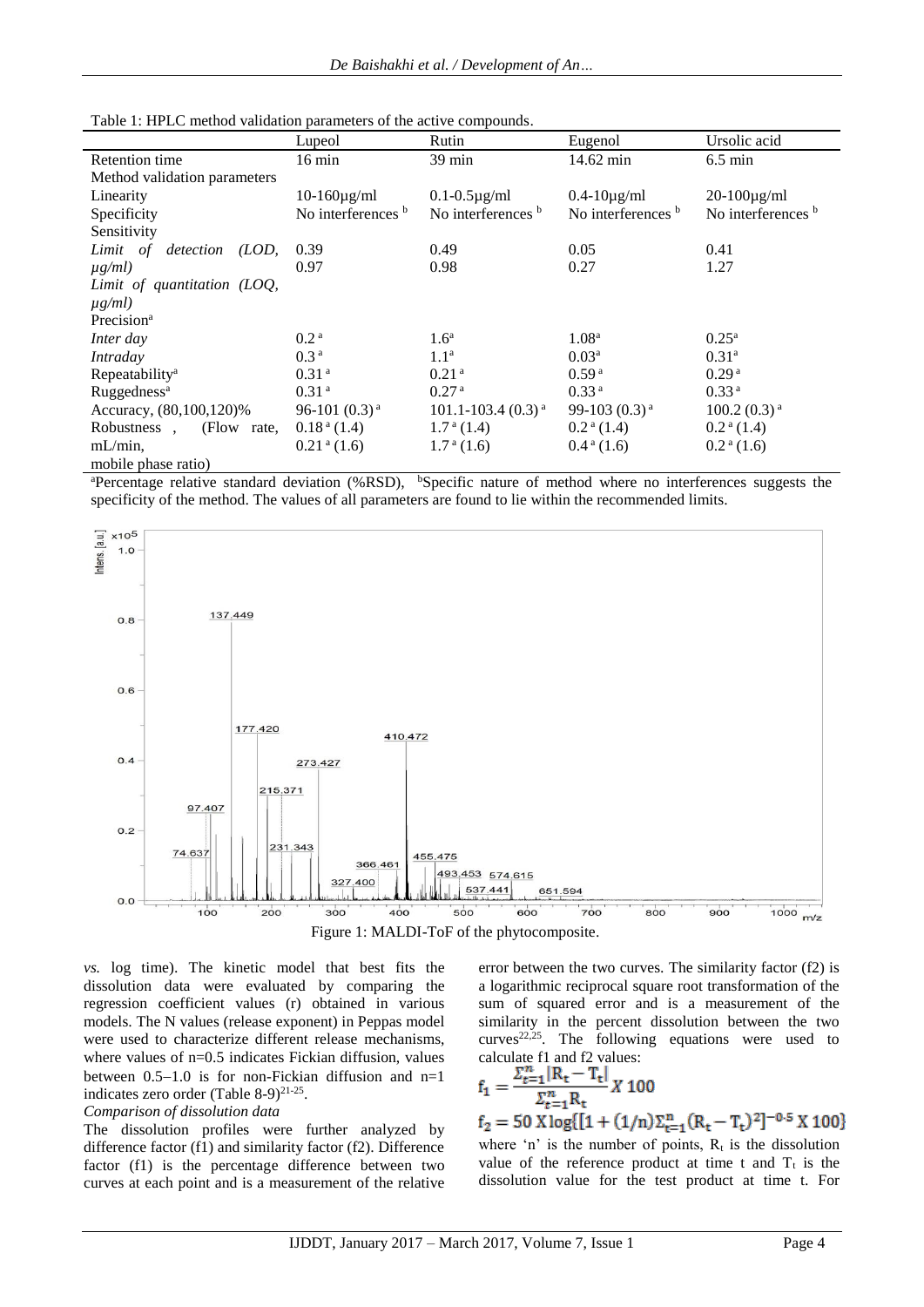| I able 1. The LC memor vanitation parameters of the active compounds. |                             |                             |                          |                           |  |  |  |  |  |
|-----------------------------------------------------------------------|-----------------------------|-----------------------------|--------------------------|---------------------------|--|--|--|--|--|
|                                                                       | Lupeol                      | Rutin                       | Eugenol                  | Ursolic acid              |  |  |  |  |  |
| Retention time                                                        | $16 \text{ min}$            | 39 min                      | 14.62 min                | $6.5 \text{ min}$         |  |  |  |  |  |
| Method validation parameters                                          |                             |                             |                          |                           |  |  |  |  |  |
| Linearity                                                             | $10-160\mu\text{g/ml}$      | $0.1 - 0.5 \mu g/ml$        | $0.4 - 10\mu\text{g/ml}$ | $20-100\mu\text{g/ml}$    |  |  |  |  |  |
| Specificity                                                           | No interferences b          | No interferences b          | No interferences b       | No interferences b        |  |  |  |  |  |
| Sensitivity                                                           |                             |                             |                          |                           |  |  |  |  |  |
| (LOD,<br>Limit of<br>detection                                        | 0.39                        | 0.49                        | 0.05                     | 0.41                      |  |  |  |  |  |
| $\mu g/ml$ )                                                          | 0.97                        | 0.98                        | 0.27                     | 1.27                      |  |  |  |  |  |
| Limit of quantitation (LOQ,                                           |                             |                             |                          |                           |  |  |  |  |  |
| $\mu$ g/ml)                                                           |                             |                             |                          |                           |  |  |  |  |  |
| Precision <sup>a</sup>                                                |                             |                             |                          |                           |  |  |  |  |  |
| Inter day                                                             | 0.2 <sup>a</sup>            | 1.6 <sup>a</sup>            | 1.08 <sup>a</sup>        | $0.25^{\rm a}$            |  |  |  |  |  |
| Intraday                                                              | 0.3 <sup>a</sup>            | 1.1 <sup>a</sup>            | $0.03^{\rm a}$           | 0.31 <sup>a</sup>         |  |  |  |  |  |
| Repeatability <sup>a</sup>                                            | 0.31 <sup>a</sup>           | 0.21 <sup>a</sup>           | 0.59 <sup>a</sup>        | 0.29 <sup>a</sup>         |  |  |  |  |  |
| Ruggedness <sup>a</sup>                                               | 0.31 <sup>a</sup>           | 0.27 <sup>a</sup>           | 0.33 <sup>a</sup>        | 0.33 <sup>a</sup>         |  |  |  |  |  |
| Accuracy, (80,100,120)%                                               | 96-101 $(0.3)^a$            | $101.1 - 103.4$ $(0.3)^{a}$ | 99-103 $(0.3)^a$         | $100.2(0.3)$ <sup>a</sup> |  |  |  |  |  |
| Robustness,<br>(Flow rate,                                            | $0.18a$ (1.4)               | $1.7^{\mathrm{a}}(1.4)$     | $0.2a$ (1.4)             | $0.2a$ (1.4)              |  |  |  |  |  |
| $mL/min$ .                                                            | $0.21$ <sup>a</sup> $(1.6)$ | $1.7^{\text{a}}(1.6)$       | $0.4^{\text{a}}(1.6)$    | $0.2a$ (1.6)              |  |  |  |  |  |
| mobile phase ratio)                                                   |                             |                             |                          |                           |  |  |  |  |  |

Table 1: HPLC method validation parameters of the active compounds.

<sup>a</sup>Percentage relative standard deviation (%RSD), <sup>b</sup>Specific nature of method where no interferences suggests the specificity of the method. The values of all parameters are found to lie within the recommended limits.





*vs.* log time). The kinetic model that best fits the dissolution data were evaluated by comparing the regression coefficient values (r) obtained in various models. The N values (release exponent) in Peppas model were used to characterize different release mechanisms, where values of  $n=0.5$  indicates Fickian diffusion, values between  $0.5-1.0$  is for non-Fickian diffusion and n=1 indicates zero order (Table 8-9) $^{21-25}$ .

# *Comparison of dissolution data*

The dissolution profiles were further analyzed by difference factor (f1) and similarity factor (f2). Difference factor (f1) is the percentage difference between two curves at each point and is a measurement of the relative error between the two curves. The similarity factor (f2) is a logarithmic reciprocal square root transformation of the sum of squared error and is a measurement of the similarity in the percent dissolution between the two curves<sup>22,25</sup>. The following equations were used to calculate f1 and f2 values:

$$
f_1 = \frac{\sum_{t=1}^{n} |R_t - T_t|}{\sum_{t=1}^{n} R_t} X 100
$$
  
\n
$$
f_2 = 50 \text{ X} \log\{ [1 + (1/n)\sum_{t=1}^{n} (R_t - T_t)^2]^{-0.5} X 100 \}
$$
  
\nwhere 'n' is the number of points,  $R_t$  is the dissolution  
\nvalue of the reference product at time t and  $T_t$  is the  
\ndissolution value for the test product at time t. For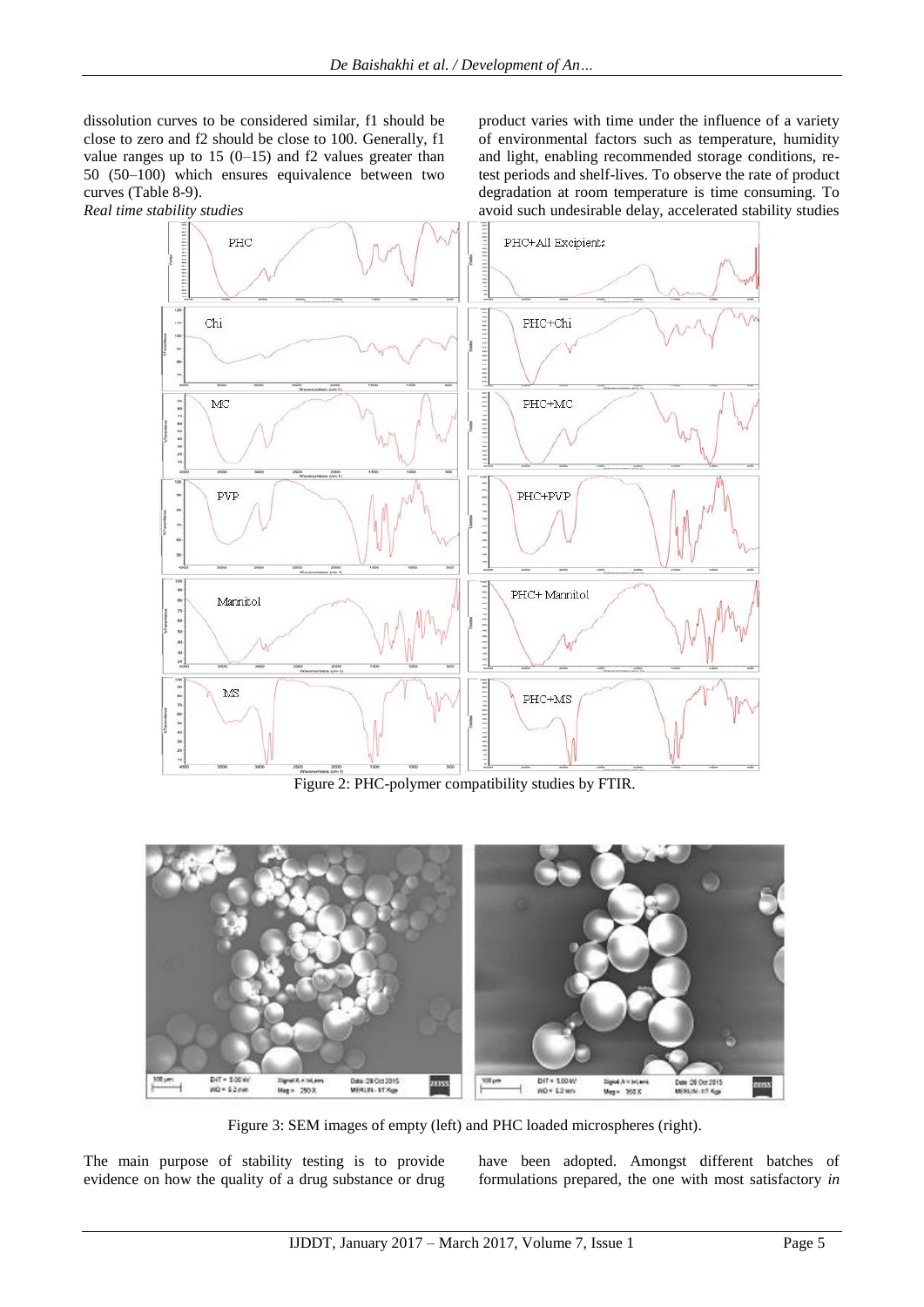dissolution curves to be considered similar, f1 should be close to zero and f2 should be close to 100. Generally, f1 value ranges up to  $15 (0-15)$  and f2 values greater than 50 (50–100) which ensures equivalence between two curves (Table 8-9).

product varies with time under the influence of a variety of environmental factors such as temperature, humidity and light, enabling recommended storage conditions, retest periods and shelf-lives. To observe the rate of product degradation at room temperature is time consuming. To avoid such undesirable delay, accelerated stability studies



Figure 2: PHC-polymer compatibility studies by FTIR.



Figure 3: SEM images of empty (left) and PHC loaded microspheres (right).

The main purpose of stability testing is to provide evidence on how the quality of a drug substance or drug have been adopted. Amongst different batches of formulations prepared, the one with most satisfactory *in*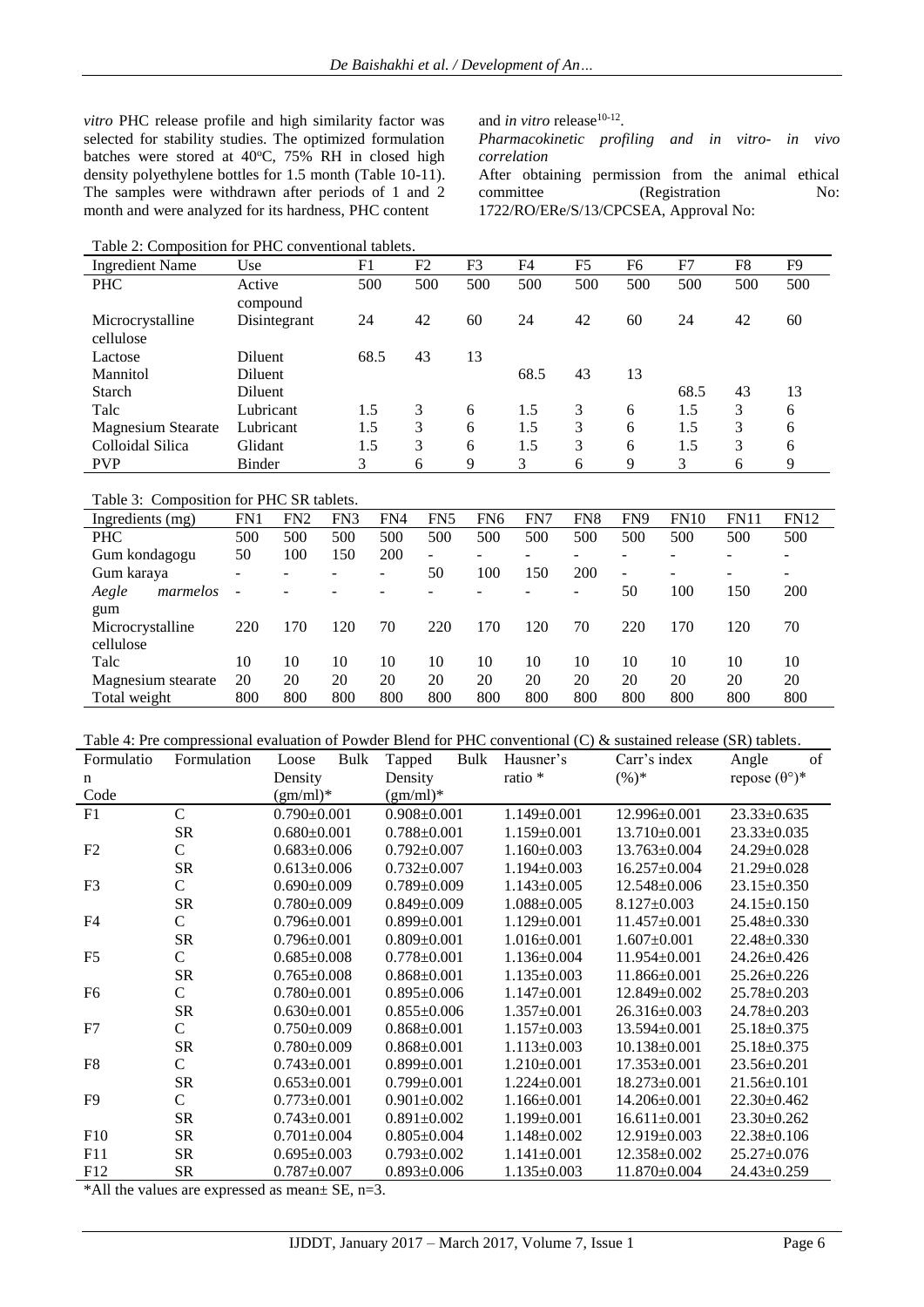and *in vitro* release<sup>10-12</sup>.

*correlation*

*Pharmacokinetic profiling and in vitro- in vivo* 

After obtaining permission from the animal ethical committee (Registration No:

1722/RO/ERe/S/13/CPCSEA, Approval No:

*vitro* PHC release profile and high similarity factor was selected for stability studies. The optimized formulation batches were stored at  $40^{\circ}$ C, 75% RH in closed high density polyethylene bottles for 1.5 month (Table 10-11). The samples were withdrawn after periods of 1 and 2 month and were analyzed for its hardness, PHC content

Table 2: Composition for PHC conventional tablets.

| <b>Ingredient Name</b>        | Use                | F1   | F <sub>2</sub> | F3  | F4   | F <sub>5</sub> | F6  | F7   | F8  | F <sub>9</sub> |
|-------------------------------|--------------------|------|----------------|-----|------|----------------|-----|------|-----|----------------|
| <b>PHC</b>                    | Active<br>compound | 500  | 500            | 500 | 500  | 500            | 500 | 500  | 500 | 500            |
| Microcrystalline<br>cellulose | Disintegrant       | 24   | 42             | 60  | 24   | 42             | 60  | 24   | 42  | 60             |
| Lactose                       | Diluent            | 68.5 | 43             | 13  |      |                |     |      |     |                |
| Mannitol                      | <b>Diluent</b>     |      |                |     | 68.5 | 43             | 13  |      |     |                |
| <b>Starch</b>                 | <b>Diluent</b>     |      |                |     |      |                |     | 68.5 | 43  | 13             |
| Talc                          | Lubricant          | 1.5  | 3              | 6   | 1.5  | 3              | 6   | 1.5  | 3   | 6              |
| <b>Magnesium Stearate</b>     | Lubricant          | 1.5  | 3              | 6   | 1.5  | 3              | 6   | 1.5  | 3   | 6              |
| Colloidal Silica              | Glidant            | 1.5  | 3              | 6   | 1.5  | 3              | 6   | 1.5  | 3   | 6              |
| <b>PVP</b>                    | Binder             | 3    | 6              | 9   | 3    | 6              | 9   | 3    | 6   | 9              |

Table 3: Composition for PHC SR tablets.

| Ingredients (mg)   | FN1                      | FN <sub>2</sub> | FN3 | FN4 | FN <sub>5</sub>          | FN6 | FN7 | FN <sub>8</sub> | FN9                      | <b>FN10</b> | <b>FN11</b> | <b>FN12</b> |
|--------------------|--------------------------|-----------------|-----|-----|--------------------------|-----|-----|-----------------|--------------------------|-------------|-------------|-------------|
| <b>PHC</b>         | 500                      | 500             | 500 | 500 | 500                      | 500 | 500 | 500             | 500                      | 500         | 500         | 500         |
| Gum kondagogu      | 50                       | 100             | 150 | 200 | $\blacksquare$           | ۰   |     |                 |                          |             |             |             |
| Gum karaya         | $\overline{\phantom{0}}$ | ۰               |     | -   | 50                       | 100 | 150 | 200             | $\overline{\phantom{0}}$ | -           |             |             |
| Aegle<br>marmelos  | $\overline{\phantom{a}}$ |                 |     |     | $\overline{\phantom{0}}$ | ۰   |     | -               | 50                       | 100         | 150         | 200         |
| gum                |                          |                 |     |     |                          |     |     |                 |                          |             |             |             |
| Microcrystalline   | 220                      | 170             | 120 | 70  | 220                      | 170 | 120 | 70              | 220                      | 170         | 120         | 70          |
| cellulose          |                          |                 |     |     |                          |     |     |                 |                          |             |             |             |
| Talc               | 10                       | 10              | 10  | 10  | 10                       | 10  | 10  | 10              | 10                       | 10          | 10          | 10          |
| Magnesium stearate | 20                       | 20              | 20  | 20  | 20                       | 20  | 20  | 20              | 20                       | 20          | 20          | 20          |
| Total weight       | 800                      | 800             | 800 | 800 | 800                      | 800 | 800 | 800             | 800                      | 800         | 800         | 800         |

Table 4: Pre compressional evaluation of Powder Blend for PHC conventional (C) & sustained release (SR) tablets.

| Formulatio     | Formulation   | Bulk<br>Loose     | Bulk<br>Tapped    | Hausner's         | Carr's index       | of<br>Angle                 |
|----------------|---------------|-------------------|-------------------|-------------------|--------------------|-----------------------------|
| n              |               | Density           | Density           | ratio *           | $(\%)^*$           | repose $(\theta^{\circ})^*$ |
| Code           |               | $(gm/ml)^*$       | $(gm/ml)^*$       |                   |                    |                             |
| F1             | C             | $0.790 \pm 0.001$ | $0.908 \pm 0.001$ | $1.149 \pm 0.001$ | 12.996±0.001       | $23.33 \pm 0.635$           |
|                | <b>SR</b>     | $0.680 \pm 0.001$ | $0.788 \pm 0.001$ | $1.159 \pm 0.001$ | $13.710 \pm 0.001$ | $23.33 \pm 0.035$           |
| F2             | C             | $0.683 \pm 0.006$ | $0.792 \pm 0.007$ | $1.160\pm0.003$   | $13.763 \pm 0.004$ | $24.29 \pm 0.028$           |
|                | <b>SR</b>     | $0.613 \pm 0.006$ | $0.732 \pm 0.007$ | $1.194 \pm 0.003$ | 16.257±0.004       | $21.29 \pm 0.028$           |
| F <sub>3</sub> | $\mathsf{C}$  | $0.690 \pm 0.009$ | $0.789 \pm 0.009$ | $1.143 \pm 0.005$ | $12.548 \pm 0.006$ | $23.15 \pm 0.350$           |
|                | <b>SR</b>     | $0.780 \pm 0.009$ | $0.849 \pm 0.009$ | $1.088 \pm 0.005$ | $8.127 \pm 0.003$  | $24.15 \pm 0.150$           |
| F <sub>4</sub> | $\mathsf{C}$  | $0.796 \pm 0.001$ | $0.899 \pm 0.001$ | $1.129 \pm 0.001$ | $11.457 \pm 0.001$ | 25.48±0.330                 |
|                | <b>SR</b>     | $0.796 \pm 0.001$ | $0.809 + 0.001$   | $1.016 \pm 0.001$ | $1.607 \pm 0.001$  | $22.48 \pm 0.330$           |
| F <sub>5</sub> | $\mathsf{C}$  | $0.685 \pm 0.008$ | $0.778 \pm 0.001$ | $1.136 \pm 0.004$ | $11.954 \pm 0.001$ | $24.26 \pm 0.426$           |
|                | SR            | $0.765 \pm 0.008$ | $0.868 \pm 0.001$ | $1.135 \pm 0.003$ | $11.866 \pm 0.001$ | 25.26±0.226                 |
| F <sub>6</sub> | $\mathsf{C}$  | $0.780 \pm 0.001$ | $0.895 \pm 0.006$ | $1.147 \pm 0.001$ | $12.849 \pm 0.002$ | $25.78 \pm 0.203$           |
|                | <b>SR</b>     | $0.630+0.001$     | $0.855 \pm 0.006$ | $1.357 \pm 0.001$ | $26.316 \pm 0.003$ | 24.78±0.203                 |
| F7             | $\mathcal{C}$ | $0.750 \pm 0.009$ | $0.868 \pm 0.001$ | $1.157 \pm 0.003$ | $13.594 \pm 0.001$ | 25.18±0.375                 |
|                | <b>SR</b>     | $0.780 \pm 0.009$ | $0.868 \pm 0.001$ | $1.113 \pm 0.003$ | $10.138 \pm 0.001$ | 25.18±0.375                 |
| F <sub>8</sub> | $\mathcal{C}$ | $0.743 \pm 0.001$ | $0.899 \pm 0.001$ | $1.210\pm0.001$   | 17.353±0.001       | $23.56 \pm 0.201$           |
|                | SR            | $0.653 \pm 0.001$ | $0.799 \pm 0.001$ | $1.224 \pm 0.001$ | $18.273 \pm 0.001$ | $21.56 \pm 0.101$           |
| F <sub>9</sub> | $\mathcal{C}$ | $0.773 \pm 0.001$ | $0.901 \pm 0.002$ | $1.166 \pm 0.001$ | $14.206 \pm 0.001$ | $22.30 \pm 0.462$           |
|                | <b>SR</b>     | $0.743 \pm 0.001$ | $0.891 \pm 0.002$ | $1.199 \pm 0.001$ | $16.611 \pm 0.001$ | $23.30 \pm 0.262$           |
| F10            | <b>SR</b>     | $0.701 \pm 0.004$ | $0.805 \pm 0.004$ | $1.148 \pm 0.002$ | $12.919\pm0.003$   | 22.38±0.106                 |
| F11            | <b>SR</b>     | $0.695 \pm 0.003$ | $0.793 \pm 0.002$ | $1.141 \pm 0.001$ | 12.358±0.002       | $25.27 \pm 0.076$           |
| F12            | <b>SR</b>     | $0.787 + 0.007$   | $0.893 \pm 0.006$ | $1.135 \pm 0.003$ | $11.870\pm0.004$   | 24.43±0.259                 |

\*All the values are expressed as mean± SE, n=3.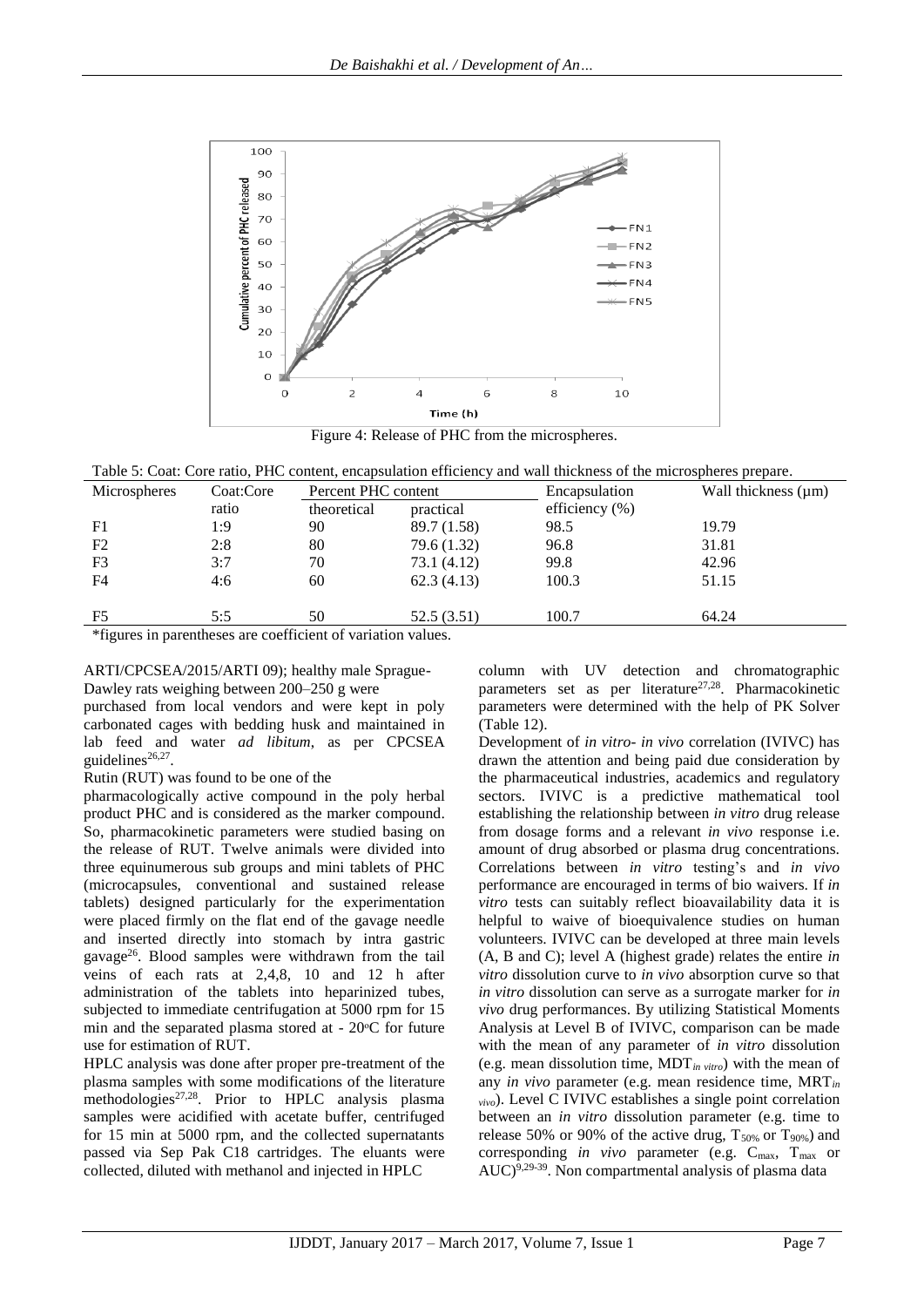

Figure 4: Release of PHC from the microspheres.

| Table 5: Coat: Core ratio. PHC content, encapsulation efficiency and wall thickness of the microspheres prepare. |  |
|------------------------------------------------------------------------------------------------------------------|--|
|------------------------------------------------------------------------------------------------------------------|--|

| Microspheres   | Coat:Core | Percent PHC content |             | Encapsulation      | Wall thickness $(\mu m)$ |
|----------------|-----------|---------------------|-------------|--------------------|--------------------------|
|                | ratio     | theoretical         | practical   | efficiency $(\% )$ |                          |
| F1             | 1:9       | 90                  | 89.7 (1.58) | 98.5               | 19.79                    |
| F <sub>2</sub> | 2:8       | 80                  | 79.6 (1.32) | 96.8               | 31.81                    |
| F <sub>3</sub> | 3:7       | 70                  | 73.1(4.12)  | 99.8               | 42.96                    |
| F <sub>4</sub> | 4:6       | 60                  | 62.3(4.13)  | 100.3              | 51.15                    |
| F5             | 5:5       | 50                  | 52.5(3.51)  | 100.7              | 64.24                    |

\*figures in parentheses are coefficient of variation values.

ARTI/CPCSEA/2015/ARTI 09); healthy male Sprague-Dawley rats weighing between 200–250 g were

purchased from local vendors and were kept in poly carbonated cages with bedding husk and maintained in lab feed and water *ad libitum*, as per CPCSEA guidelines<sup>26,27</sup>.

Rutin (RUT) was found to be one of the

pharmacologically active compound in the poly herbal product PHC and is considered as the marker compound. So, pharmacokinetic parameters were studied basing on the release of RUT. Twelve animals were divided into three equinumerous sub groups and mini tablets of PHC (microcapsules, conventional and sustained release tablets) designed particularly for the experimentation were placed firmly on the flat end of the gavage needle and inserted directly into stomach by intra gastric gavage<sup>26</sup> . Blood samples were withdrawn from the tail veins of each rats at 2,4,8, 10 and 12 h after administration of the tablets into heparinized tubes, subjected to immediate centrifugation at 5000 rpm for 15 min and the separated plasma stored at  $-20^{\circ}$ C for future use for estimation of RUT.

HPLC analysis was done after proper pre-treatment of the plasma samples with some modifications of the literature methodologies<sup>27,28</sup>. Prior to HPLC analysis plasma samples were acidified with acetate buffer, centrifuged for 15 min at 5000 rpm, and the collected supernatants passed via Sep Pak C18 cartridges. The eluants were collected, diluted with methanol and injected in HPLC

column with UV detection and chromatographic parameters set as per literature<sup>27,28</sup>. Pharmacokinetic parameters were determined with the help of PK Solver (Table 12).

Development of *in vitro- in vivo* correlation (IVIVC) has drawn the attention and being paid due consideration by the pharmaceutical industries, academics and regulatory sectors. IVIVC is a predictive mathematical tool establishing the relationship between *in vitro* drug release from dosage forms and a relevant *in vivo* response i.e. amount of drug absorbed or plasma drug concentrations. Correlations between *in vitro* testing's and *in vivo* performance are encouraged in terms of bio waivers. If *in vitro* tests can suitably reflect bioavailability data it is helpful to waive of bioequivalence studies on human volunteers. IVIVC can be developed at three main levels (A, B and C); level A (highest grade) relates the entire *in vitro* dissolution curve to *in vivo* absorption curve so that *in vitro* dissolution can serve as a surrogate marker for *in vivo* drug performances. By utilizing Statistical Moments Analysis at Level B of IVIVC, comparison can be made with the mean of any parameter of *in vitro* dissolution (e.g. mean dissolution time, MDT*in vitro*) with the mean of any *in vivo* parameter (e.g. mean residence time, MRT*in vivo*). Level C IVIVC establishes a single point correlation between an *in vitro* dissolution parameter (e.g. time to release 50% or 90% of the active drug,  $T_{50\%}$  or  $T_{90\%}$ ) and corresponding *in vivo* parameter (e.g. C<sub>max</sub>, T<sub>max</sub> or  $AUC$ <sup>9,29-39</sup>. Non compartmental analysis of plasma data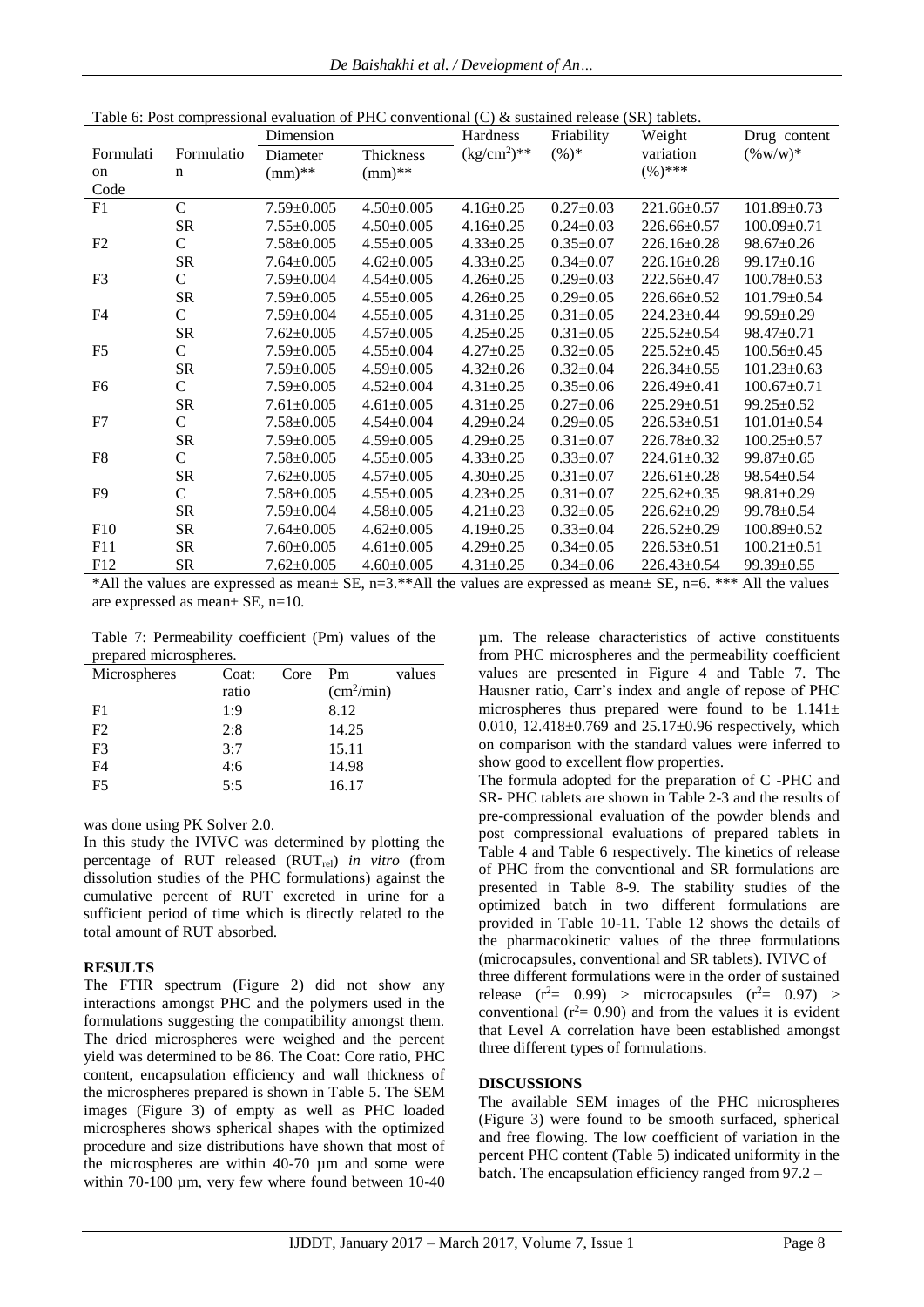|                |                | Dimension        |                  | Hardness        | Friability      | Weight            | Drug content      |
|----------------|----------------|------------------|------------------|-----------------|-----------------|-------------------|-------------------|
| Formulati      | Formulatio     | Diameter         | Thickness        | $(kg/cm2)**$    | $(\%)^*$        | variation         | $(\% w/w)^*$      |
| on             | n              | $(mm)$ **        | $(mm)$ **        |                 |                 | $(\%)$ ***        |                   |
| Code           |                |                  |                  |                 |                 |                   |                   |
| F1             | $\overline{C}$ | $7.59 \pm 0.005$ | $4.50 \pm 0.005$ | $4.16 \pm 0.25$ | $0.27 \pm 0.03$ | $221.66 \pm 0.57$ | 101.89±0.73       |
|                | <b>SR</b>      | $7.55 \pm 0.005$ | $4.50 \pm 0.005$ | $4.16 \pm 0.25$ | $0.24 \pm 0.03$ | $226.66 \pm 0.57$ | $100.09 \pm 0.71$ |
| F2             | $\overline{C}$ | $7.58 \pm 0.005$ | $4.55 \pm 0.005$ | $4.33 \pm 0.25$ | $0.35 \pm 0.07$ | $226.16 \pm 0.28$ | $98.67 \pm 0.26$  |
|                | <b>SR</b>      | $7.64 \pm 0.005$ | $4.62 \pm 0.005$ | $4.33 \pm 0.25$ | $0.34 \pm 0.07$ | $226.16 \pm 0.28$ | $99.17 \pm 0.16$  |
| F <sub>3</sub> | C              | $7.59 \pm 0.004$ | $4.54 \pm 0.005$ | $4.26 \pm 0.25$ | $0.29 \pm 0.03$ | $222.56 \pm 0.47$ | $100.78 \pm 0.53$ |
|                | ${\rm SR}$     | $7.59 \pm 0.005$ | $4.55 \pm 0.005$ | $4.26 \pm 0.25$ | $0.29 \pm 0.05$ | $226.66 \pm 0.52$ | $101.79 \pm 0.54$ |
| F <sub>4</sub> | $\mathsf{C}$   | $7.59 \pm 0.004$ | $4.55 \pm 0.005$ | $4.31 \pm 0.25$ | $0.31 \pm 0.05$ | $224.23 \pm 0.44$ | $99.59 \pm 0.29$  |
|                | <b>SR</b>      | $7.62 \pm 0.005$ | $4.57 \pm 0.005$ | $4.25 \pm 0.25$ | $0.31 \pm 0.05$ | $225.52 \pm 0.54$ | $98.47 \pm 0.71$  |
| F <sub>5</sub> | $\mathsf{C}$   | $7.59 \pm 0.005$ | $4.55 \pm 0.004$ | $4.27 \pm 0.25$ | $0.32 \pm 0.05$ | $225.52 \pm 0.45$ | $100.56 \pm 0.45$ |
|                | <b>SR</b>      | $7.59 \pm 0.005$ | $4.59 \pm 0.005$ | $4.32 \pm 0.26$ | $0.32 \pm 0.04$ | $226.34 \pm 0.55$ | $101.23 \pm 0.63$ |
| F <sub>6</sub> | $\mathsf{C}$   | $7.59 \pm 0.005$ | $4.52 \pm 0.004$ | $4.31 \pm 0.25$ | $0.35 \pm 0.06$ | $226.49 \pm 0.41$ | $100.67 \pm 0.71$ |
|                | <b>SR</b>      | $7.61 \pm 0.005$ | $4.61 \pm 0.005$ | $4.31 \pm 0.25$ | $0.27 \pm 0.06$ | $225.29 \pm 0.51$ | $99.25 \pm 0.52$  |
| F7             | $\mathsf{C}$   | $7.58 \pm 0.005$ | $4.54 \pm 0.004$ | $4.29 \pm 0.24$ | $0.29 \pm 0.05$ | $226.53 \pm 0.51$ | $101.01 \pm 0.54$ |
|                | <b>SR</b>      | $7.59 \pm 0.005$ | $4.59 \pm 0.005$ | $4.29 \pm 0.25$ | $0.31 \pm 0.07$ | 226.78±0.32       | $100.25 \pm 0.57$ |
| F <sub>8</sub> | $\mathsf{C}$   | $7.58 \pm 0.005$ | $4.55 \pm 0.005$ | $4.33 \pm 0.25$ | $0.33 \pm 0.07$ | $224.61 \pm 0.32$ | 99.87±0.65        |
|                | <b>SR</b>      | $7.62 \pm 0.005$ | $4.57 \pm 0.005$ | $4.30 \pm 0.25$ | $0.31 \pm 0.07$ | $226.61 \pm 0.28$ | $98.54 \pm 0.54$  |
| F <sub>9</sub> | $\overline{C}$ | $7.58 \pm 0.005$ | $4.55 \pm 0.005$ | $4.23 \pm 0.25$ | $0.31 \pm 0.07$ | $225.62 \pm 0.35$ | $98.81 \pm 0.29$  |
|                | <b>SR</b>      | $7.59 \pm 0.004$ | $4.58 \pm 0.005$ | $4.21 \pm 0.23$ | $0.32 \pm 0.05$ | $226.62 \pm 0.29$ | $99.78 \pm 0.54$  |
| F10            | <b>SR</b>      | $7.64 \pm 0.005$ | $4.62 \pm 0.005$ | $4.19 \pm 0.25$ | $0.33 \pm 0.04$ | $226.52 \pm 0.29$ | $100.89 \pm 0.52$ |
| F11            | <b>SR</b>      | $7.60 \pm 0.005$ | $4.61 \pm 0.005$ | $4.29 \pm 0.25$ | $0.34 \pm 0.05$ | $226.53 \pm 0.51$ | $100.21 \pm 0.51$ |
| F12            | <b>SR</b>      | $7.62 \pm 0.005$ | $4.60 \pm 0.005$ | $4.31 \pm 0.25$ | $0.34 \pm 0.06$ | $226.43 \pm 0.54$ | $99.39 \pm 0.55$  |

Table 6: Post compressional evaluation of PHC conventional (C) & sustained release (SR) tablets.

\*All the values are expressed as mean± SE, n=3.\*\*All the values are expressed as mean± SE, n=6. \*\*\* All the values are expressed as mean± SE, n=10.

Table 7: Permeability coefficient (Pm) values of the prepared microspheres.

| Microspheres   | Coat: | Core | Pm                     | values |
|----------------|-------|------|------------------------|--------|
|                | ratio |      | (cm <sup>2</sup> /min) |        |
| F <sub>1</sub> | 1:9   |      | 8.12                   |        |
| F2             | 2:8   |      | 14.25                  |        |
| F3             | 3:7   |      | 15.11                  |        |
| F4             | 4:6   |      | 14.98                  |        |
| F5             | 5:5   |      | 16.17                  |        |

was done using PK Solver 2.0.

In this study the IVIVC was determined by plotting the percentage of RUT released (RUTrel) *in vitro* (from dissolution studies of the PHC formulations) against the cumulative percent of RUT excreted in urine for a sufficient period of time which is directly related to the total amount of RUT absorbed.

# **RESULTS**

The FTIR spectrum (Figure 2) did not show any interactions amongst PHC and the polymers used in the formulations suggesting the compatibility amongst them. The dried microspheres were weighed and the percent yield was determined to be 86. The Coat: Core ratio, PHC content, encapsulation efficiency and wall thickness of the microspheres prepared is shown in Table 5. The SEM images (Figure 3) of empty as well as PHC loaded microspheres shows spherical shapes with the optimized procedure and size distributions have shown that most of the microspheres are within 40-70 µm and some were within 70-100 µm, very few where found between 10-40 µm. The release characteristics of active constituents from PHC microspheres and the permeability coefficient values are presented in Figure 4 and Table 7. The Hausner ratio, Carr's index and angle of repose of PHC microspheres thus prepared were found to be  $1.141 \pm$ 0.010,  $12.418 \pm 0.769$  and  $25.17 \pm 0.96$  respectively, which on comparison with the standard values were inferred to show good to excellent flow properties.

The formula adopted for the preparation of C -PHC and SR- PHC tablets are shown in Table 2-3 and the results of pre-compressional evaluation of the powder blends and post compressional evaluations of prepared tablets in Table 4 and Table 6 respectively. The kinetics of release of PHC from the conventional and SR formulations are presented in Table 8-9. The stability studies of the optimized batch in two different formulations are provided in Table 10-11. Table 12 shows the details of the pharmacokinetic values of the three formulations (microcapsules, conventional and SR tablets). IVIVC of three different formulations were in the order of sustained release  $(r^2 = 0.99)$  > microcapsules  $(r^2 = 0.97)$  > conventional ( $r^2$ = 0.90) and from the values it is evident that Level A correlation have been established amongst three different types of formulations.

#### **DISCUSSIONS**

The available SEM images of the PHC microspheres (Figure 3) were found to be smooth surfaced, spherical and free flowing. The low coefficient of variation in the percent PHC content (Table 5) indicated uniformity in the batch. The encapsulation efficiency ranged from 97.2 –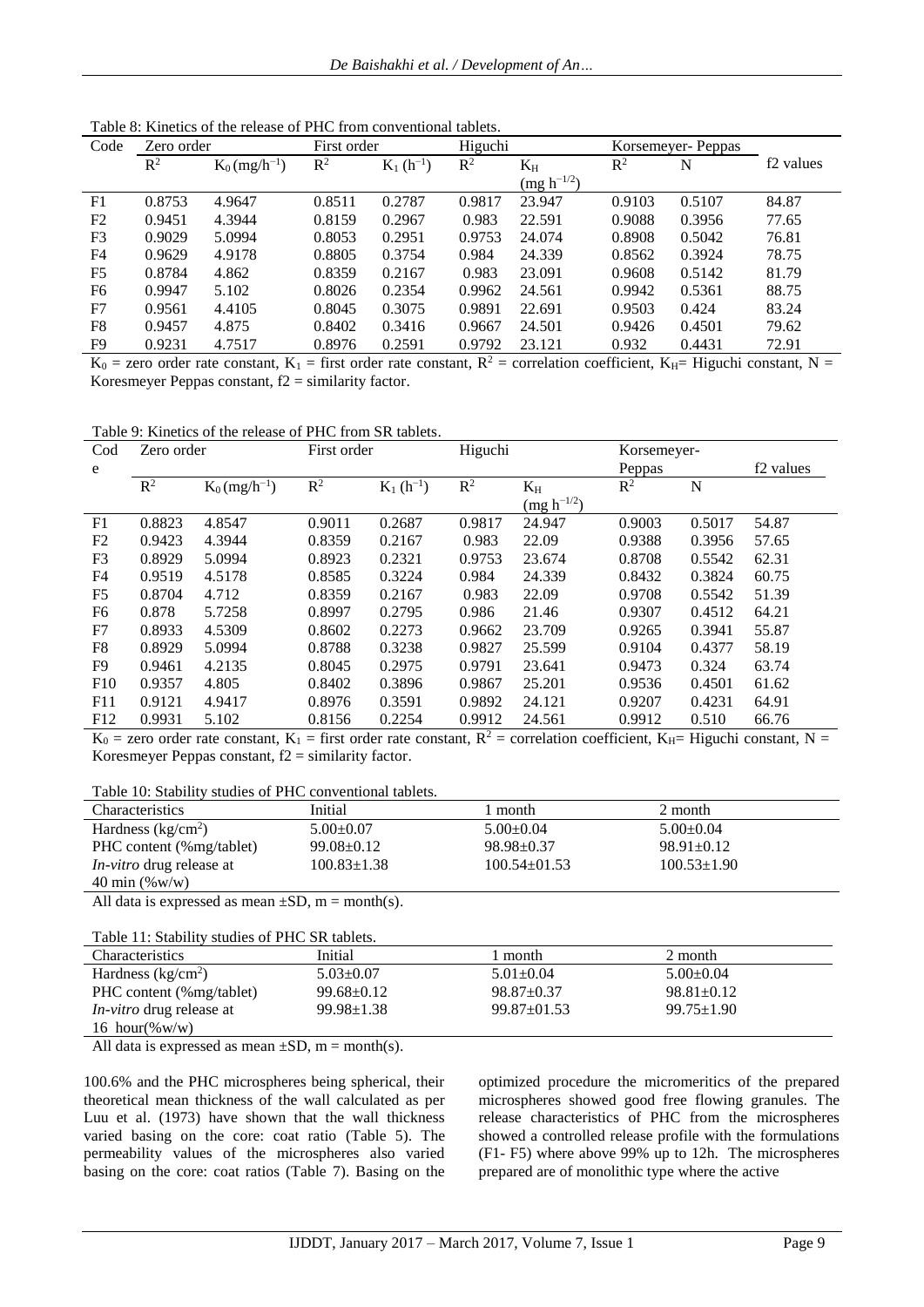| Code           | Zero order     |                             | First order    |               | Higuchi        |                 | Korsemeyer-Peppas |        |                       |
|----------------|----------------|-----------------------------|----------------|---------------|----------------|-----------------|-------------------|--------|-----------------------|
|                | $\mathbb{R}^2$ | $K_0$ (mg/h <sup>-1</sup> ) | $\mathbb{R}^2$ | $K_1(h^{-1})$ | $\mathbb{R}^2$ | $K_{\rm H}$     | $\mathbb{R}^2$    | N      | f <sub>2</sub> values |
|                |                |                             |                |               |                | $(mg h^{-1/2})$ |                   |        |                       |
| F1             | 0.8753         | 4.9647                      | 0.8511         | 0.2787        | 0.9817         | 23.947          | 0.9103            | 0.5107 | 84.87                 |
| F <sub>2</sub> | 0.9451         | 4.3944                      | 0.8159         | 0.2967        | 0.983          | 22.591          | 0.9088            | 0.3956 | 77.65                 |
| F <sub>3</sub> | 0.9029         | 5.0994                      | 0.8053         | 0.2951        | 0.9753         | 24.074          | 0.8908            | 0.5042 | 76.81                 |
| F <sub>4</sub> | 0.9629         | 4.9178                      | 0.8805         | 0.3754        | 0.984          | 24.339          | 0.8562            | 0.3924 | 78.75                 |
| F <sub>5</sub> | 0.8784         | 4.862                       | 0.8359         | 0.2167        | 0.983          | 23.091          | 0.9608            | 0.5142 | 81.79                 |
| F <sub>6</sub> | 0.9947         | 5.102                       | 0.8026         | 0.2354        | 0.9962         | 24.561          | 0.9942            | 0.5361 | 88.75                 |
| F7             | 0.9561         | 4.4105                      | 0.8045         | 0.3075        | 0.9891         | 22.691          | 0.9503            | 0.424  | 83.24                 |
| F <sub>8</sub> | 0.9457         | 4.875                       | 0.8402         | 0.3416        | 0.9667         | 24.501          | 0.9426            | 0.4501 | 79.62                 |
| F9             | 0.9231         | 4.7517                      | 0.8976         | 0.2591        | 0.9792         | 23.121          | 0.932             | 0.4431 | 72.91                 |

Table 8: Kinetics of the release of PHC from conventional tablets.

 $K_0$  = zero order rate constant,  $K_1$  = first order rate constant,  $R^2$  = correlation coefficient,  $K_H$ = Higuchi constant, N = Koresmeyer Peppas constant,  $f2 =$  similarity factor.

Table 9: Kinetics of the release of PHC from SR tablets.

| Cod            | Zero order |                             |        | Higuchi<br>First order |                |                                      | Korsemeyer-    |        |                       |
|----------------|------------|-----------------------------|--------|------------------------|----------------|--------------------------------------|----------------|--------|-----------------------|
| e              |            |                             |        |                        |                |                                      | Peppas         |        | f <sub>2</sub> values |
|                | $R^2$      | $K_0$ (mg/h <sup>-1</sup> ) | $R^2$  | $K_1(h^{-1})$          | $\mathbb{R}^2$ | $K_{H}$                              | R <sup>2</sup> | N      |                       |
|                |            |                             |        |                        |                | $\left(\frac{mg h^{-1/2}}{2}\right)$ |                |        |                       |
| F1             | 0.8823     | 4.8547                      | 0.9011 | 0.2687                 | 0.9817         | 24.947                               | 0.9003         | 0.5017 | 54.87                 |
| F <sub>2</sub> | 0.9423     | 4.3944                      | 0.8359 | 0.2167                 | 0.983          | 22.09                                | 0.9388         | 0.3956 | 57.65                 |
| F3             | 0.8929     | 5.0994                      | 0.8923 | 0.2321                 | 0.9753         | 23.674                               | 0.8708         | 0.5542 | 62.31                 |
| F4             | 0.9519     | 4.5178                      | 0.8585 | 0.3224                 | 0.984          | 24.339                               | 0.8432         | 0.3824 | 60.75                 |
| F <sub>5</sub> | 0.8704     | 4.712                       | 0.8359 | 0.2167                 | 0.983          | 22.09                                | 0.9708         | 0.5542 | 51.39                 |
| F6             | 0.878      | 5.7258                      | 0.8997 | 0.2795                 | 0.986          | 21.46                                | 0.9307         | 0.4512 | 64.21                 |
| F7             | 0.8933     | 4.5309                      | 0.8602 | 0.2273                 | 0.9662         | 23.709                               | 0.9265         | 0.3941 | 55.87                 |
| F8             | 0.8929     | 5.0994                      | 0.8788 | 0.3238                 | 0.9827         | 25.599                               | 0.9104         | 0.4377 | 58.19                 |
| F <sub>9</sub> | 0.9461     | 4.2135                      | 0.8045 | 0.2975                 | 0.9791         | 23.641                               | 0.9473         | 0.324  | 63.74                 |
| F10            | 0.9357     | 4.805                       | 0.8402 | 0.3896                 | 0.9867         | 25.201                               | 0.9536         | 0.4501 | 61.62                 |
| F11            | 0.9121     | 4.9417                      | 0.8976 | 0.3591                 | 0.9892         | 24.121                               | 0.9207         | 0.4231 | 64.91                 |
| F12            | 0.9931     | 5.102                       | 0.8156 | 0.2254                 | 0.9912         | 24.561                               | 0.9912         | 0.510  | 66.76                 |

 $K_0$  = zero order rate constant,  $K_1$  = first order rate constant,  $R^2$  = correlation coefficient,  $K_H$ = Higuchi constant, N = Koresmeyer Peppas constant,  $f2 =$  similarity factor.

Table 10: Stability studies of PHC conventional tablets.

| <b>Characteristics</b>          | Initial           | l month            | 2 month           |
|---------------------------------|-------------------|--------------------|-------------------|
| Hardness ( $kg/cm2$ )           | $5.00 \pm 0.07$   | $5.00 \pm 0.04$    | $5.00 \pm 0.04$   |
| PHC content (%mg/tablet)        | $99.08 \pm 0.12$  | $98.98 \pm 0.37$   | $98.91 \pm 0.12$  |
| <i>In-vitro</i> drug release at | $100.83 \pm 1.38$ | $100.54 \pm 01.53$ | $100.53 \pm 1.90$ |
| 40 min $(\% w/w)$               |                   |                    |                   |

All data is expressed as mean  $\pm SD$ , m = month(s).

Table 11: Stability studies of PHC SR tablets.

| <b>Characteristics</b>          | Initial          | month             | 2 month          |  |
|---------------------------------|------------------|-------------------|------------------|--|
| Hardness ( $kg/cm2$ )           | $5.03 \pm 0.07$  | $5.01 \pm 0.04$   | $5.00 \pm 0.04$  |  |
| PHC content (%mg/tablet)        | $99.68 \pm 0.12$ | $98.87 \pm 0.37$  | $98.81 \pm 0.12$ |  |
| <i>In-vitro</i> drug release at | $99.98 \pm 1.38$ | $99.87 \pm 01.53$ | $99.75 \pm 1.90$ |  |
| 16 hour( $\%$ w/w)              |                  |                   |                  |  |

All data is expressed as mean  $\pm SD$ , m = month(s).

100.6% and the PHC microspheres being spherical, their theoretical mean thickness of the wall calculated as per Luu et al. (1973) have shown that the wall thickness varied basing on the core: coat ratio (Table 5). The permeability values of the microspheres also varied basing on the core: coat ratios (Table 7). Basing on the optimized procedure the micromeritics of the prepared microspheres showed good free flowing granules. The release characteristics of PHC from the microspheres showed a controlled release profile with the formulations (F1- F5) where above 99% up to 12h. The microspheres prepared are of monolithic type where the active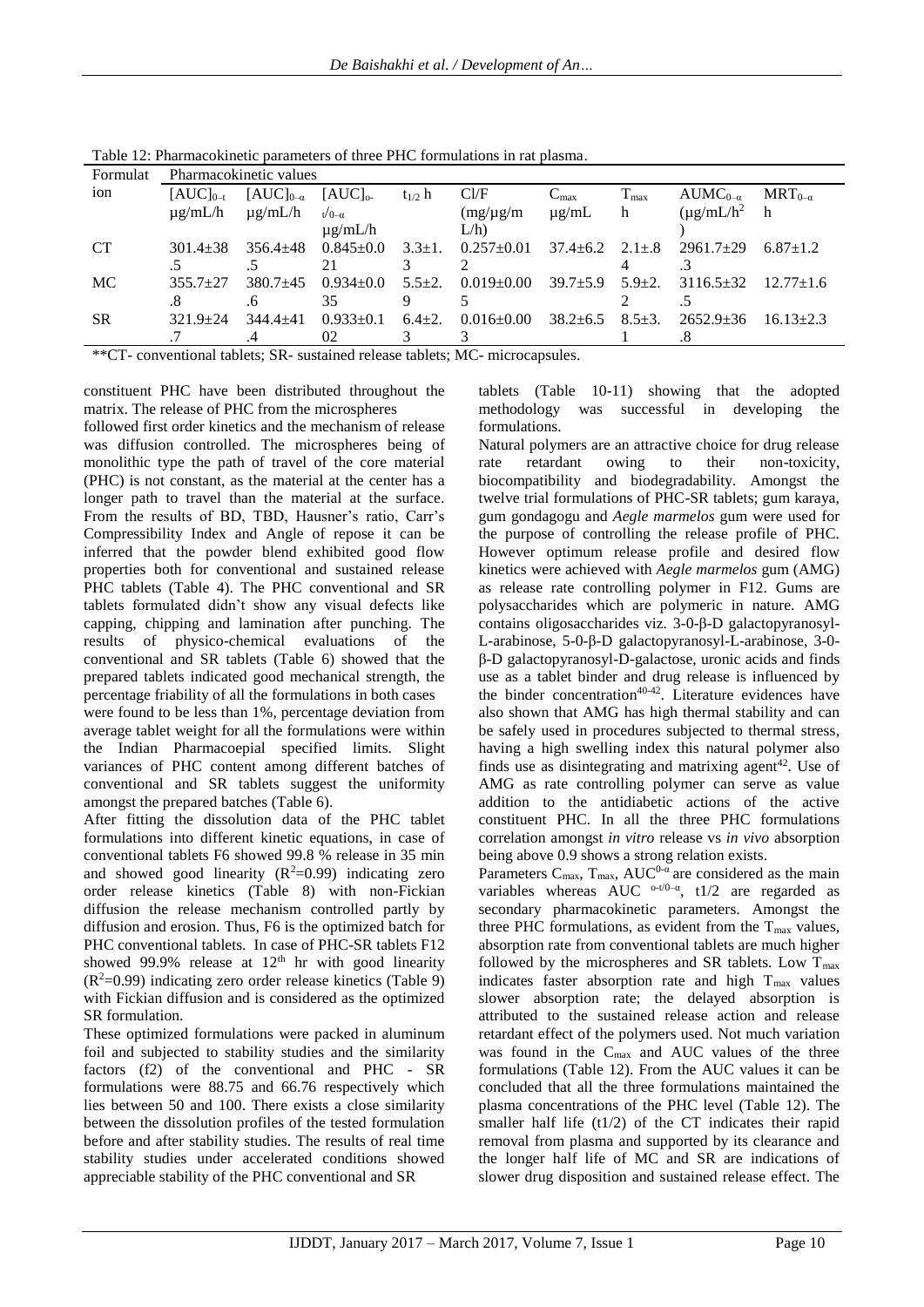| Formulat  | Pharmacokinetic values |                    |                 |              |                  |                             |                  |                            |                  |
|-----------|------------------------|--------------------|-----------------|--------------|------------------|-----------------------------|------------------|----------------------------|------------------|
| ion       | $[AUC]_{0-t}$          | $[AUC]_{0-\alpha}$ | $[AUC]_{0}$     | $t_{1/2}$ h  | Cl/F             | $C_{\text{max}}$            | $T_{\text{max}}$ | $\text{AUMC}_{0-\alpha}$   | $MRT_{0-\alpha}$ |
|           | $\mu$ g/mL/h           | $\mu$ g/mL/h       | $t/0-\alpha$    |              | $(mg/\mu g/m)$   | $\mu$ g/mL                  | h                | $(\mu$ g/mL/h <sup>2</sup> | h                |
|           |                        |                    | $\mu$ g/mL/h    |              | $L/h$ )          |                             |                  |                            |                  |
| <b>CT</b> | $301.4 + 38$           | $356.4 + 48$       | $0.845 \pm 0.0$ | $3.3 \pm 1.$ | $0.257 \pm 0.01$ | $37.4 \pm 6.2$ $2.1 \pm .8$ |                  | $2961.7 \pm 29$            | $6.87 \pm 1.2$   |
|           |                        |                    | 21              |              |                  |                             |                  |                            |                  |
| MC        | $355.7 + 27$           | $380.7 + 45$       | $0.934 + 0.0$   | $5.5 \pm 2.$ | $0.019 \pm 0.00$ | $39.7 + 5.9$                | $5.9 + 2.$       | $3116.5 \pm 32$            | $12.77 \pm 1.6$  |
|           | .8                     | .6                 | 35              | 9            |                  |                             |                  |                            |                  |
| <b>SR</b> | $321.9 + 24$           | $344.4 + 41$       | $0.933+0.1$     | $6.4 + 2.$   | $0.016 \pm 0.00$ | $38.2 + 6.5$                | $8.5 + 3.$       | $2652.9+36$                | $16.13 + 2.3$    |
|           |                        | .4                 | 02              |              |                  |                             |                  |                            |                  |

Table 12: Pharmacokinetic parameters of three PHC formulations in rat plasma.

\*\*CT- conventional tablets; SR- sustained release tablets; MC- microcapsules.

constituent PHC have been distributed throughout the matrix. The release of PHC from the microspheres

followed first order kinetics and the mechanism of release was diffusion controlled. The microspheres being of monolithic type the path of travel of the core material (PHC) is not constant, as the material at the center has a longer path to travel than the material at the surface. From the results of BD, TBD, Hausner's ratio, Carr's Compressibility Index and Angle of repose it can be inferred that the powder blend exhibited good flow properties both for conventional and sustained release PHC tablets (Table 4). The PHC conventional and SR tablets formulated didn't show any visual defects like capping, chipping and lamination after punching. The results of physico-chemical evaluations of the conventional and SR tablets (Table 6) showed that the prepared tablets indicated good mechanical strength, the percentage friability of all the formulations in both cases were found to be less than 1%, percentage deviation from average tablet weight for all the formulations were within the Indian Pharmacoepial specified limits. Slight variances of PHC content among different batches of conventional and SR tablets suggest the uniformity

amongst the prepared batches (Table 6). After fitting the dissolution data of the PHC tablet formulations into different kinetic equations, in case of conventional tablets F6 showed 99.8 % release in 35 min and showed good linearity  $(R^2=0.99)$  indicating zero order release kinetics (Table 8) with non-Fickian diffusion the release mechanism controlled partly by diffusion and erosion. Thus, F6 is the optimized batch for PHC conventional tablets. In case of PHC-SR tablets F12 showed 99.9% release at  $12<sup>th</sup>$  hr with good linearity  $(R^2=0.99)$  indicating zero order release kinetics (Table 9) with Fickian diffusion and is considered as the optimized SR formulation.

These optimized formulations were packed in aluminum foil and subjected to stability studies and the similarity factors (f2) of the conventional and PHC - SR formulations were 88.75 and 66.76 respectively which lies between 50 and 100. There exists a close similarity between the dissolution profiles of the tested formulation before and after stability studies. The results of real time stability studies under accelerated conditions showed appreciable stability of the PHC conventional and SR

tablets (Table 10-11) showing that the adopted methodology was successful in developing the formulations.

Natural polymers are an attractive choice for drug release rate retardant owing to their non-toxicity, biocompatibility and biodegradability. Amongst the twelve trial formulations of PHC-SR tablets; gum karaya, gum gondagogu and *Aegle marmelos* gum were used for the purpose of controlling the release profile of PHC. However optimum release profile and desired flow kinetics were achieved with *Aegle marmelos* gum (AMG) as release rate controlling polymer in F12. Gums are polysaccharides which are polymeric in nature. AMG contains oligosaccharides viz. 3-0-β-D galactopyranosyl-L-arabinose, 5-0-β-D galactopyranosyl-L-arabinose, 3-0 β-D galactopyranosyl-D-galactose, uronic acids and finds use as a tablet binder and drug release is influenced by the binder concentration<sup>40-42</sup>. Literature evidences have also shown that AMG has high thermal stability and can be safely used in procedures subjected to thermal stress, having a high swelling index this natural polymer also finds use as disintegrating and matrixing agent<sup>42</sup>. Use of AMG as rate controlling polymer can serve as value addition to the antidiabetic actions of the active constituent PHC. In all the three PHC formulations correlation amongst *in vitro* release vs *in vivo* absorption being above 0.9 shows a strong relation exists.

Parameters C<sub>max</sub>, T<sub>max</sub>, AUC<sup>0-α</sup> are considered as the main variables whereas AUC <sup>o-t/0-α</sup>, t1/2 are regarded as secondary pharmacokinetic parameters. Amongst the three PHC formulations, as evident from the  $T_{\text{max}}$  values, absorption rate from conventional tablets are much higher followed by the microspheres and SR tablets. Low  $T_{\text{max}}$ indicates faster absorption rate and high  $T_{\text{max}}$  values slower absorption rate; the delayed absorption is attributed to the sustained release action and release retardant effect of the polymers used. Not much variation was found in the  $C_{\text{max}}$  and AUC values of the three formulations (Table 12). From the AUC values it can be concluded that all the three formulations maintained the plasma concentrations of the PHC level (Table 12). The smaller half life  $(t1/2)$  of the CT indicates their rapid removal from plasma and supported by its clearance and the longer half life of MC and SR are indications of slower drug disposition and sustained release effect. The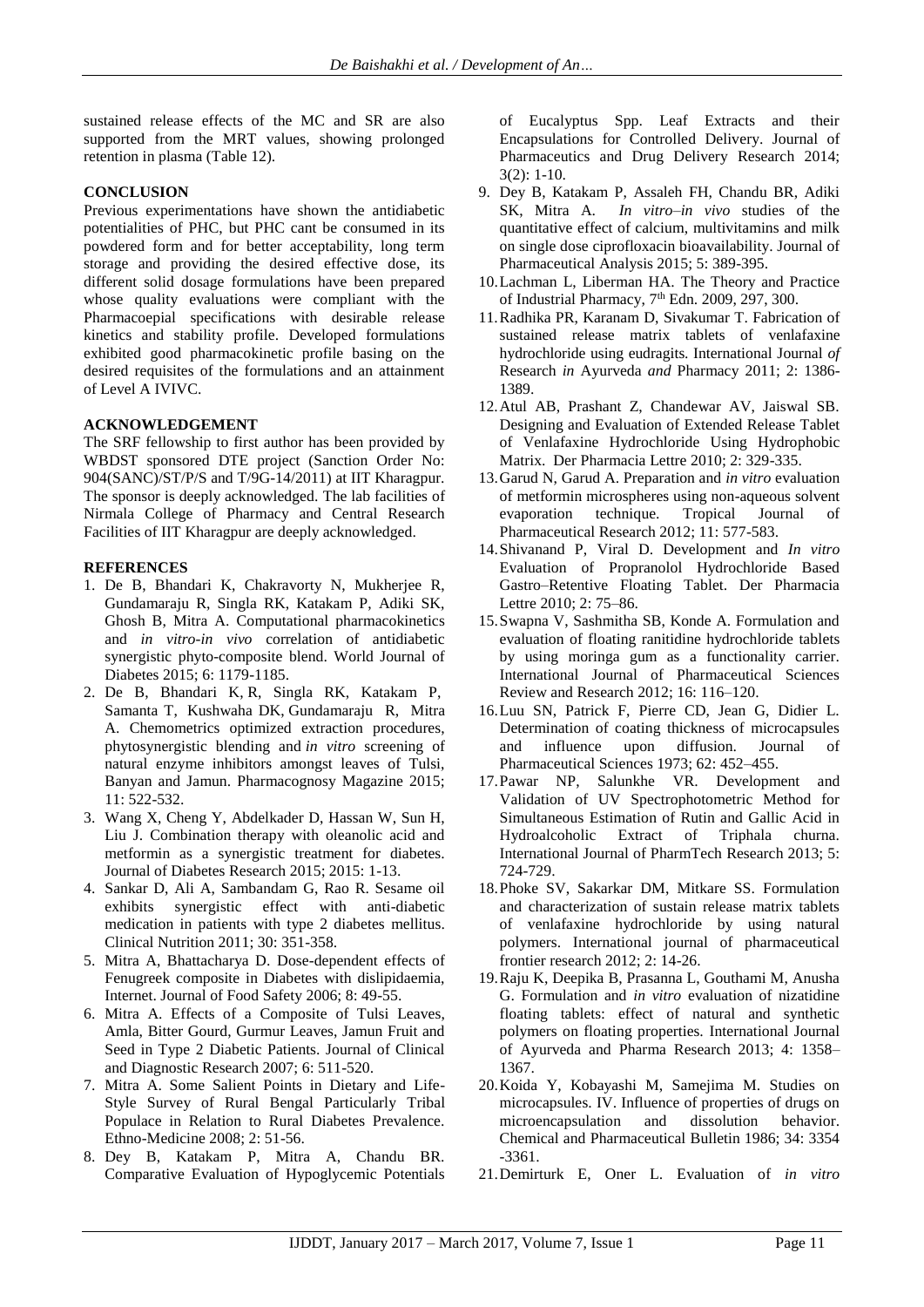sustained release effects of the MC and SR are also supported from the MRT values, showing prolonged retention in plasma (Table 12).

# **CONCLUSION**

Previous experimentations have shown the antidiabetic potentialities of PHC, but PHC cant be consumed in its powdered form and for better acceptability, long term storage and providing the desired effective dose, its different solid dosage formulations have been prepared whose quality evaluations were compliant with the Pharmacoepial specifications with desirable release kinetics and stability profile. Developed formulations exhibited good pharmacokinetic profile basing on the desired requisites of the formulations and an attainment of Level A IVIVC.

# **ACKNOWLEDGEMENT**

The SRF fellowship to first author has been provided by WBDST sponsored DTE project (Sanction Order No: 904(SANC)/ST/P/S and T/9G-14/2011) at IIT Kharagpur. The sponsor is deeply acknowledged. The lab facilities of Nirmala College of Pharmacy and Central Research Facilities of IIT Kharagpur are deeply acknowledged.

#### **REFERENCES**

- 1. De B, Bhandari K, Chakravorty N, Mukherjee R, Gundamaraju R, Singla RK, Katakam P, Adiki SK, Ghosh B, Mitra A. Computational pharmacokinetics and *in vitro-in vivo* correlation of antidiabetic synergistic phyto-composite blend. World Journal of Diabetes 2015; 6: 1179-1185.
- 2. De B, Bhandari K, R, Singla RK, Katakam P, [Samanta T,](http://www.phcog.com/searchresult.asp?search=&author=Tanmoy+Samanta&journal=Y&but_search=Search&entries=10&pg=1&s=0) [Kushwaha](http://www.phcog.com/searchresult.asp?search=&author=Dilip+Kumar+Kushwaha&journal=Y&but_search=Search&entries=10&pg=1&s=0) DK, Gundamaraju [R,](http://www.phcog.com/searchresult.asp?search=&author=Rohit+Gundamaraju&journal=Y&but_search=Search&entries=10&pg=1&s=0) [Mitra](http://www.phcog.com/searchresult.asp?search=&author=Analava+Mitra&journal=Y&but_search=Search&entries=10&pg=1&s=0)  [A.](http://www.phcog.com/searchresult.asp?search=&author=Analava+Mitra&journal=Y&but_search=Search&entries=10&pg=1&s=0) Chemometrics optimized extraction procedures, phytosynergistic blending and *in vitro* screening of natural enzyme inhibitors amongst leaves of Tulsi, Banyan and Jamun. Pharmacognosy Magazine 2015; 11: 522-532.
- 3. Wang X, Cheng Y, Abdelkader D, Hassan W, Sun H, Liu J. Combination therapy with oleanolic acid and metformin as a synergistic treatment for diabetes. Journal of Diabetes Research 2015; 2015: 1-13.
- 4. Sankar D, Ali A, Sambandam G, Rao R. Sesame oil exhibits synergistic effect with anti-diabetic medication in patients with type 2 diabetes mellitus. Clinical Nutrition 2011; 30: 351-358.
- 5. Mitra A, Bhattacharya D. Dose-dependent effects of Fenugreek composite in Diabetes with dislipidaemia, Internet. Journal of Food Safety 2006; 8: 49-55.
- 6. Mitra A. Effects of a Composite of Tulsi Leaves, Amla, Bitter Gourd, Gurmur Leaves, Jamun Fruit and Seed in Type 2 Diabetic Patients. Journal of Clinical and Diagnostic Research 2007; 6: 511-520.
- 7. Mitra A. Some Salient Points in Dietary and Life-Style Survey of Rural Bengal Particularly Tribal Populace in Relation to Rural Diabetes Prevalence. Ethno-Medicine 2008; 2: 51-56.
- 8. Dey B, Katakam P, Mitra A, Chandu BR. Comparative Evaluation of Hypoglycemic Potentials

of Eucalyptus Spp. Leaf Extracts and their Encapsulations for Controlled Delivery. Journal of Pharmaceutics and Drug Delivery Research 2014; 3(2): 1-10.

- 9. Dey B, Katakam P, Assaleh FH, Chandu BR, Adiki SK, Mitra A. *In vitro–in vivo* studies of the quantitative effect of calcium, multivitamins and milk on single dose ciprofloxacin bioavailability. Journal of Pharmaceutical Analysis 2015; 5: 389-395.
- 10.Lachman L, Liberman HA. The Theory and Practice of Industrial Pharmacy,  $7<sup>th</sup>$  Edn. 2009, 297, 300.
- 11.Radhika PR, Karanam D, Sivakumar T. Fabrication of sustained release matrix tablets of venlafaxine hydrochloride using eudragits. International Journal *of*  Research *in* Ayurveda *and* Pharmacy 2011; 2: 1386- 1389.
- 12.Atul AB, Prashant Z, Chandewar AV, Jaiswal SB. Designing and Evaluation of Extended Release Tablet of Venlafaxine Hydrochloride Using Hydrophobic Matrix. Der Pharmacia Lettre 2010; 2: 329-335.
- 13.Garud N, Garud A. Preparation and *in vitro* evaluation of metformin microspheres using non-aqueous solvent evaporation technique. Tropical Journal of Pharmaceutical Research 2012; 11: 577-583.
- 14.Shivanand P, Viral D. Development and *In vitro*  Evaluation of Propranolol Hydrochloride Based Gastro–Retentive Floating Tablet. Der Pharmacia Lettre 2010; 2: 75–86.
- 15.Swapna V, Sashmitha SB, Konde A. Formulation and evaluation of floating ranitidine hydrochloride tablets by using moringa gum as a functionality carrier. International Journal of Pharmaceutical Sciences Review and Research 2012; 16: 116–120.
- 16.Luu SN, Patrick F, Pierre CD, Jean G, Didier L. Determination of coating thickness of microcapsules and influence upon diffusion. Journal of Pharmaceutical Sciences 1973; 62: 452–455.
- 17.Pawar NP, Salunkhe VR. Development and Validation of UV Spectrophotometric Method for Simultaneous Estimation of Rutin and Gallic Acid in Hydroalcoholic Extract of Triphala churna. International Journal of PharmTech Research 2013; 5: 724-729.
- 18.Phoke SV, Sakarkar DM, Mitkare SS. Formulation and characterization of sustain release matrix tablets of venlafaxine hydrochloride by using natural polymers. International journal of pharmaceutical frontier research 2012; 2: 14-26.
- 19.Raju K, Deepika B, Prasanna L, Gouthami M, Anusha G. Formulation and *in vitro* evaluation of nizatidine floating tablets: effect of natural and synthetic polymers on floating properties. International Journal of Ayurveda and Pharma Research 2013; 4: 1358– 1367.
- 20.Koida Y, Kobayashi M, Samejima M. Studies on microcapsules. IV. Influence of properties of drugs on microencapsulation and dissolution behavior. Chemical and Pharmaceutical Bulletin 1986; 34: 3354 -3361.
- 21.Demirturk E, Oner L. Evaluation of *in vitro*